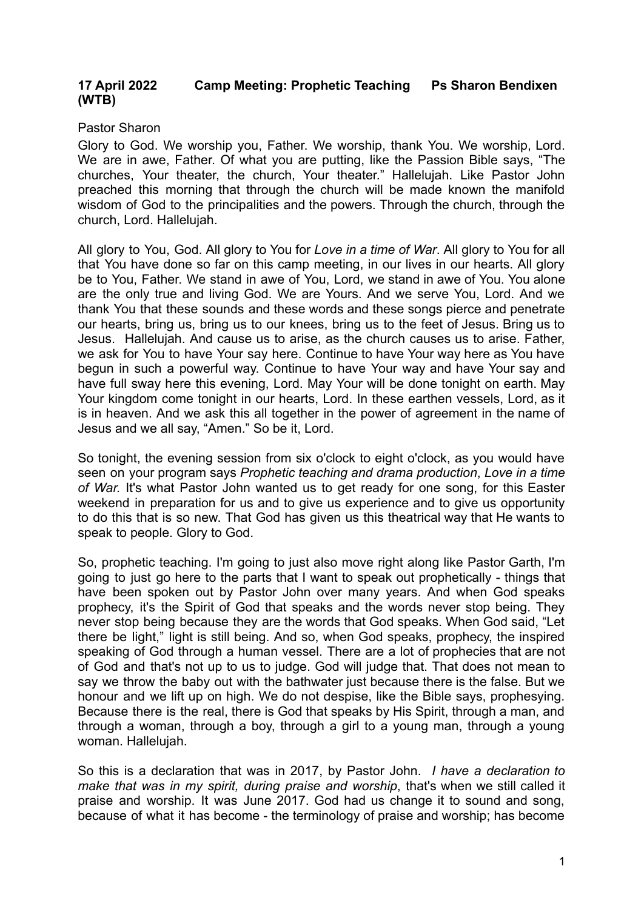## **17 April 2022 Camp Meeting: Prophetic Teaching Ps Sharon Bendixen (WTB)**

Pastor Sharon

Glory to God. We worship you, Father. We worship, thank You. We worship, Lord. We are in awe, Father. Of what you are putting, like the Passion Bible says, "The churches, Your theater, the church, Your theater." Hallelujah. Like Pastor John preached this morning that through the church will be made known the manifold wisdom of God to the principalities and the powers. Through the church, through the church, Lord. Hallelujah.

All glory to You, God. All glory to You for *Love in a time of War*. All glory to You for all that You have done so far on this camp meeting, in our lives in our hearts. All glory be to You, Father. We stand in awe of You, Lord, we stand in awe of You. You alone are the only true and living God. We are Yours. And we serve You, Lord. And we thank You that these sounds and these words and these songs pierce and penetrate our hearts, bring us, bring us to our knees, bring us to the feet of Jesus. Bring us to Jesus. Hallelujah. And cause us to arise, as the church causes us to arise. Father, we ask for You to have Your say here. Continue to have Your way here as You have begun in such a powerful way. Continue to have Your way and have Your say and have full sway here this evening, Lord. May Your will be done tonight on earth. May Your kingdom come tonight in our hearts, Lord. In these earthen vessels, Lord, as it is in heaven. And we ask this all together in the power of agreement in the name of Jesus and we all say, "Amen." So be it, Lord.

So tonight, the evening session from six o'clock to eight o'clock, as you would have seen on your program says *Prophetic teaching and drama production*, *Love in a time of War.* It's what Pastor John wanted us to get ready for one song, for this Easter weekend in preparation for us and to give us experience and to give us opportunity to do this that is so new. That God has given us this theatrical way that He wants to speak to people. Glory to God.

So, prophetic teaching. I'm going to just also move right along like Pastor Garth, I'm going to just go here to the parts that I want to speak out prophetically - things that have been spoken out by Pastor John over many years. And when God speaks prophecy, it's the Spirit of God that speaks and the words never stop being. They never stop being because they are the words that God speaks. When God said, "Let there be light," light is still being. And so, when God speaks, prophecy, the inspired speaking of God through a human vessel. There are a lot of prophecies that are not of God and that's not up to us to judge. God will judge that. That does not mean to say we throw the baby out with the bathwater just because there is the false. But we honour and we lift up on high. We do not despise, like the Bible says, prophesying. Because there is the real, there is God that speaks by His Spirit, through a man, and through a woman, through a boy, through a girl to a young man, through a young woman. Hallelujah.

So this is a declaration that was in 2017, by Pastor John. *I have a declaration to make that was in my spirit, during praise and worship*, that's when we still called it praise and worship. It was June 2017. God had us change it to sound and song, because of what it has become - the terminology of praise and worship; has become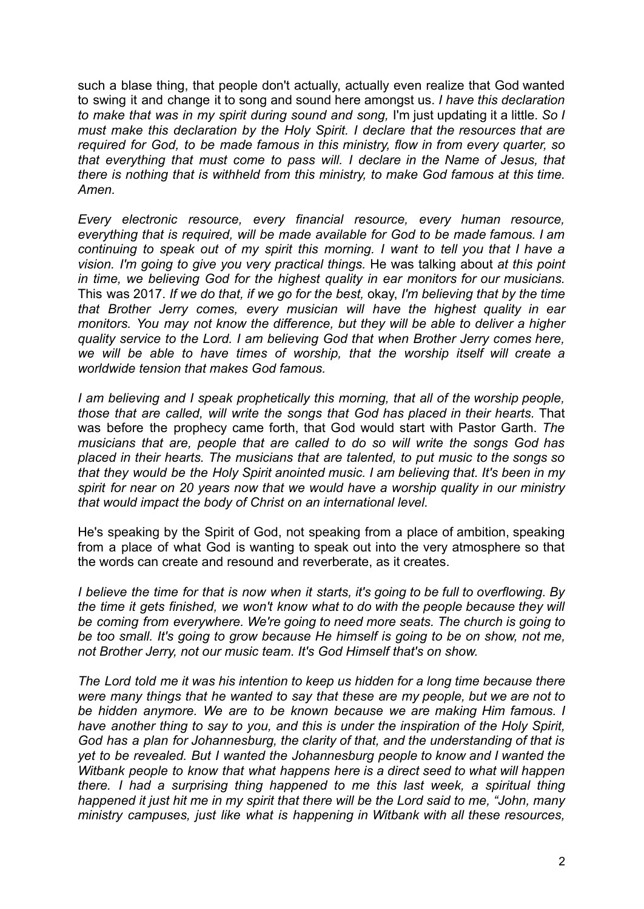such a blase thing, that people don't actually, actually even realize that God wanted to swing it and change it to song and sound here amongst us. *I have this declaration to make that was in my spirit during sound and song,* I'm just updating it a little. *So I must make this declaration by the Holy Spirit. I declare that the resources that are required for God, to be made famous in this ministry, flow in from every quarter, so that everything that must come to pass will. I declare in the Name of Jesus, that there is nothing that is withheld from this ministry, to make God famous at this time. Amen.*

*Every electronic resource, every financial resource, every human resource, everything that is required, will be made available for God to be made famous. I am continuing to speak out of my spirit this morning. I want to tell you that I have a vision. I'm going to give you very practical things.* He was talking about *at this point in time, we believing God for the highest quality in ear monitors for our musicians.* This was 2017. *If we do that, if we go for the best,* okay, *I'm believing that by the time that Brother Jerry comes, every musician will have the highest quality in ear monitors. You may not know the difference, but they will be able to deliver a higher quality service to the Lord. I am believing God that when Brother Jerry comes here, we will be able to have times of worship, that the worship itself will create a worldwide tension that makes God famous.*

*I am believing and I speak prophetically this morning, that all of the worship people, those that are called, will write the songs that God has placed in their hearts.* That was before the prophecy came forth, that God would start with Pastor Garth. *The musicians that are, people that are called to do so will write the songs God has placed in their hearts. The musicians that are talented, to put music to the songs so that they would be the Holy Spirit anointed music. I am believing that. It's been in my spirit for near on 20 years now that we would have a worship quality in our ministry that would impact the body of Christ on an international level.*

He's speaking by the Spirit of God, not speaking from a place of ambition, speaking from a place of what God is wanting to speak out into the very atmosphere so that the words can create and resound and reverberate, as it creates.

*I believe the time for that is now when it starts, it's going to be full to overflowing. By the time it gets finished, we won't know what to do with the people because they will be coming from everywhere. We're going to need more seats. The church is going to be too small. It's going to grow because He himself is going to be on show, not me, not Brother Jerry, not our music team. It's God Himself that's on show.*

*The Lord told me it was his intention to keep us hidden for a long time because there were many things that he wanted to say that these are my people, but we are not to be hidden anymore. We are to be known because we are making Him famous. I have another thing to say to you, and this is under the inspiration of the Holy Spirit, God has a plan for Johannesburg, the clarity of that, and the understanding of that is yet to be revealed. But I wanted the Johannesburg people to know and I wanted the Witbank people to know that what happens here is a direct seed to what will happen there. I had a surprising thing happened to me this last week, a spiritual thing happened it just hit me in my spirit that there will be the Lord said to me, "John, many ministry campuses, just like what is happening in Witbank with all these resources,*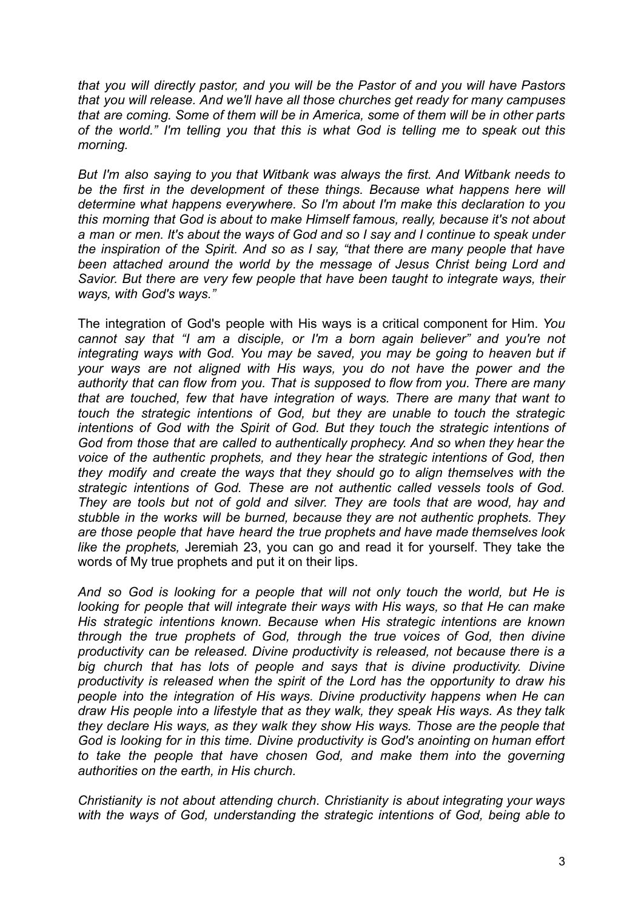*that you will directly pastor, and you will be the Pastor of and you will have Pastors that you will release. And we'll have all those churches get ready for many campuses that are coming. Some of them will be in America, some of them will be in other parts of the world." I'm telling you that this is what God is telling me to speak out this morning.*

*But I'm also saying to you that Witbank was always the first. And Witbank needs to be the first in the development of these things. Because what happens here will determine what happens everywhere. So I'm about I'm make this declaration to you this morning that God is about to make Himself famous, really, because it's not about a man or men. It's about the ways of God and so I say and I continue to speak under the inspiration of the Spirit. And so as I say, "that there are many people that have been attached around the world by the message of Jesus Christ being Lord and Savior. But there are very few people that have been taught to integrate ways, their ways, with God's ways."*

The integration of God's people with His ways is a critical component for Him. *You cannot say that "I am a disciple, or I'm a born again believer" and you're not integrating ways with God. You may be saved, you may be going to heaven but if your ways are not aligned with His ways, you do not have the power and the authority that can flow from you. That is supposed to flow from you. There are many that are touched, few that have integration of ways. There are many that want to touch the strategic intentions of God, but they are unable to touch the strategic intentions of God with the Spirit of God. But they touch the strategic intentions of God from those that are called to authentically prophecy. And so when they hear the voice of the authentic prophets, and they hear the strategic intentions of God, then they modify and create the ways that they should go to align themselves with the strategic intentions of God. These are not authentic called vessels tools of God. They are tools but not of gold and silver. They are tools that are wood, hay and stubble in the works will be burned, because they are not authentic prophets. They are those people that have heard the true prophets and have made themselves look like the prophets,* Jeremiah 23, you can go and read it for yourself. They take the words of My true prophets and put it on their lips.

*And so God is looking for a people that will not only touch the world, but He is looking for people that will integrate their ways with His ways, so that He can make His strategic intentions known. Because when His strategic intentions are known through the true prophets of God, through the true voices of God, then divine productivity can be released. Divine productivity is released, not because there is a big church that has lots of people and says that is divine productivity. Divine productivity is released when the spirit of the Lord has the opportunity to draw his people into the integration of His ways. Divine productivity happens when He can draw His people into a lifestyle that as they walk, they speak His ways. As they talk they declare His ways, as they walk they show His ways. Those are the people that God is looking for in this time. Divine productivity is God's anointing on human effort to take the people that have chosen God, and make them into the governing authorities on the earth, in His church.*

*Christianity is not about attending church*. *Christianity is about integrating your ways with the ways of God, understanding the strategic intentions of God, being able to*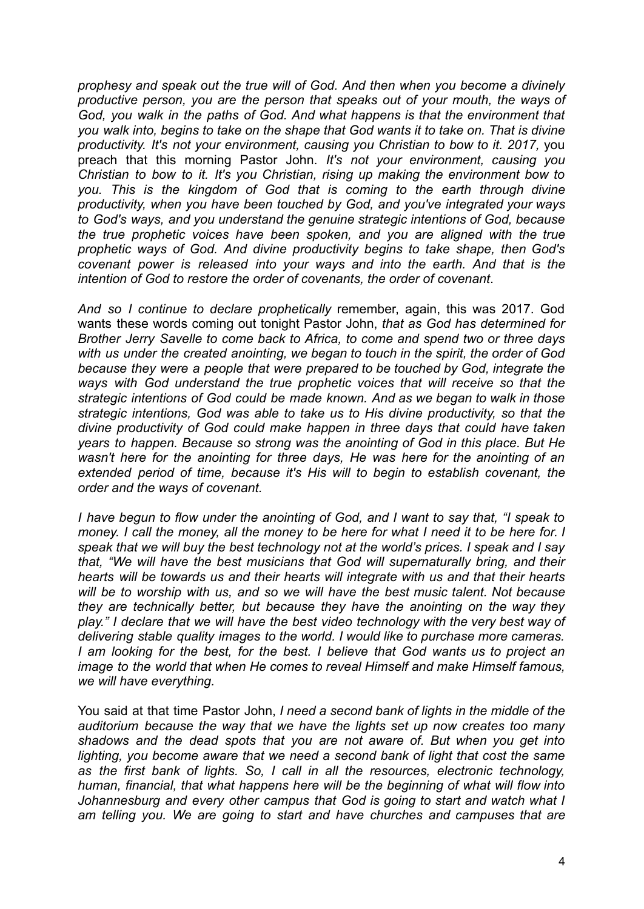*prophesy and speak out the true will of God. And then when you become a divinely productive person, you are the person that speaks out of your mouth, the ways of God, you walk in the paths of God. And what happens is that the environment that you walk into, begins to take on the shape that God wants it to take on. That is divine productivity. It's not your environment, causing you Christian to bow to it. 2017,* you preach that this morning Pastor John. *It's not your environment, causing you Christian to bow to it. It's you Christian, rising up making the environment bow to you. This is the kingdom of God that is coming to the earth through divine productivity, when you have been touched by God, and you've integrated your ways to God's ways, and you understand the genuine strategic intentions of God, because the true prophetic voices have been spoken, and you are aligned with the true prophetic ways of God. And divine productivity begins to take shape, then God's covenant power is released into your ways and into the earth. And that is the intention of God to restore the order of covenants, the order of covenant*.

*And so I continue to declare prophetically* remember, again, this was 2017. God wants these words coming out tonight Pastor John, *that as God has determined for Brother Jerry Savelle to come back to Africa, to come and spend two or three days with us under the created anointing, we began to touch in the spirit, the order of God because they were a people that were prepared to be touched by God, integrate the ways with God understand the true prophetic voices that will receive so that the strategic intentions of God could be made known. And as we began to walk in those strategic intentions, God was able to take us to His divine productivity, so that the divine productivity of God could make happen in three days that could have taken years to happen. Because so strong was the anointing of God in this place. But He wasn't here for the anointing for three days, He was here for the anointing of an extended period of time, because it's His will to begin to establish covenant, the order and the ways of covenant.*

*I have begun to flow under the anointing of God, and I want to say that, "I speak to* money. I call the money, all the money to be here for what I need it to be here for. I *speak that we will buy the best technology not at the world's prices. I speak and I say that, "We will have the best musicians that God will supernaturally bring, and their hearts will be towards us and their hearts will integrate with us and that their hearts will be to worship with us, and so we will have the best music talent. Not because they are technically better, but because they have the anointing on the way they play." I declare that we will have the best video technology with the very best way of delivering stable quality images to the world. I would like to purchase more cameras. I am looking for the best, for the best. I believe that God wants us to project an image to the world that when He comes to reveal Himself and make Himself famous, we will have everything.*

You said at that time Pastor John, *I need a second bank of lights in the middle of the auditorium because the way that we have the lights set up now creates too many shadows and the dead spots that you are not aware of. But when you get into lighting, you become aware that we need a second bank of light that cost the same as the first bank of lights. So, I call in all the resources, electronic technology, human, financial, that what happens here will be the beginning of what will flow into Johannesburg and every other campus that God is going to start and watch what I am telling you. We are going to start and have churches and campuses that are*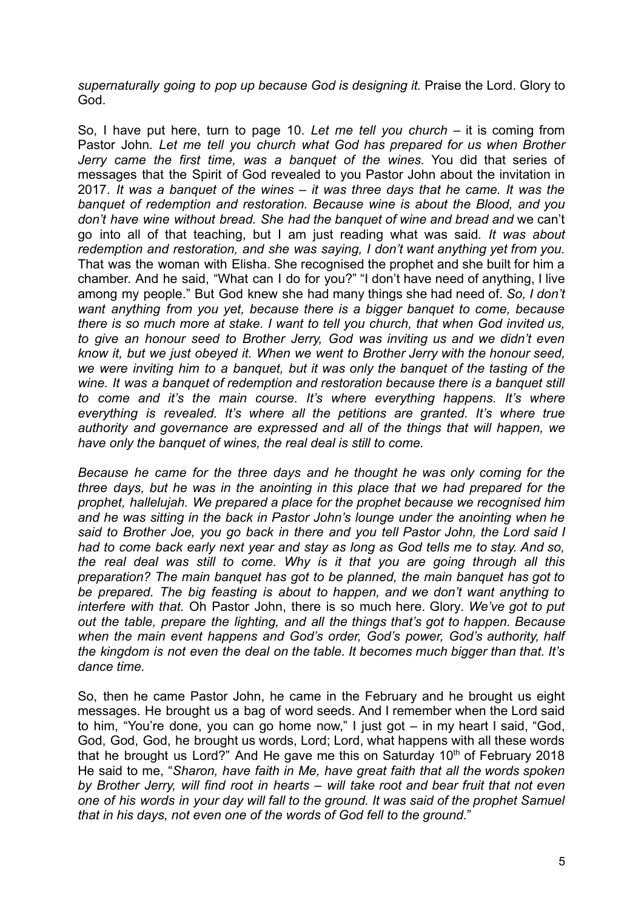*supernaturally going to pop up because God is designing it.* Praise the Lord. Glory to God.

So, I have put here, turn to page 10. *Let me tell you church –* it is coming from Pastor John*. Let me tell you church what God has prepared for us when Brother Jerry came the first time, was a banquet of the wines.* You did that series of messages that the Spirit of God revealed to you Pastor John about the invitation in 2017. *It was a banquet of the wines – it was three days that he came. It was the banquet of redemption and restoration. Because wine is about the Blood, and you don't have wine without bread. She had the banquet of wine and bread and* we can't go into all of that teaching, but I am just reading what was said*. It was about redemption and restoration, and she was saying, I don't want anything yet from you.* That was the woman with Elisha. She recognised the prophet and she built for him a chamber. And he said, "What can I do for you?" "I don't have need of anything, I live among my people." But God knew she had many things she had need of. *So, I don't want anything from you yet, because there is a bigger banquet to come, because there is so much more at stake. I want to tell you church, that when God invited us, to give an honour seed to Brother Jerry, God was inviting us and we didn't even know it, but we just obeyed it. When we went to Brother Jerry with the honour seed, we were inviting him to a banquet, but it was only the banquet of the tasting of the wine. It was a banquet of redemption and restoration because there is a banquet still to come and it's the main course. It's where everything happens. It's where everything is revealed. It's where all the petitions are granted. It's where true authority and governance are expressed and all of the things that will happen, we have only the banquet of wines, the real deal is still to come.*

*Because he came for the three days and he thought he was only coming for the three days, but he was in the anointing in this place that we had prepared for the prophet, hallelujah. We prepared a place for the prophet because we recognised him and he was sitting in the back in Pastor John's lounge under the anointing when he said to Brother Joe, you go back in there and you tell Pastor John, the Lord said I had to come back early next year and stay as long as God tells me to stay. And so, the real deal was still to come. Why is it that you are going through all this preparation? The main banquet has got to be planned, the main banquet has got to be prepared. The big feasting is about to happen, and we don't want anything to interfere with that.* Oh Pastor John, there is so much here. Glory*. We've got to put out the table, prepare the lighting, and all the things that's got to happen. Because when the main event happens and God's order, God's power, God's authority, half the kingdom is not even the deal on the table. It becomes much bigger than that. It's dance time.*

So, then he came Pastor John, he came in the February and he brought us eight messages. He brought us a bag of word seeds. And I remember when the Lord said to him, "You're done, you can go home now," I just got – in my heart I said, "God, God, God, God, he brought us words, Lord; Lord, what happens with all these words that he brought us Lord?" And He gave me this on Saturday  $10<sup>th</sup>$  of February 2018 He said to me, "*Sharon, have faith in Me, have great faith that all the words spoken by Brother Jerry, will find root in hearts – will take root and bear fruit that not even one of his words in your day will fall to the ground. It was said of the prophet Samuel that in his days, not even one of the words of God fell to the ground.*"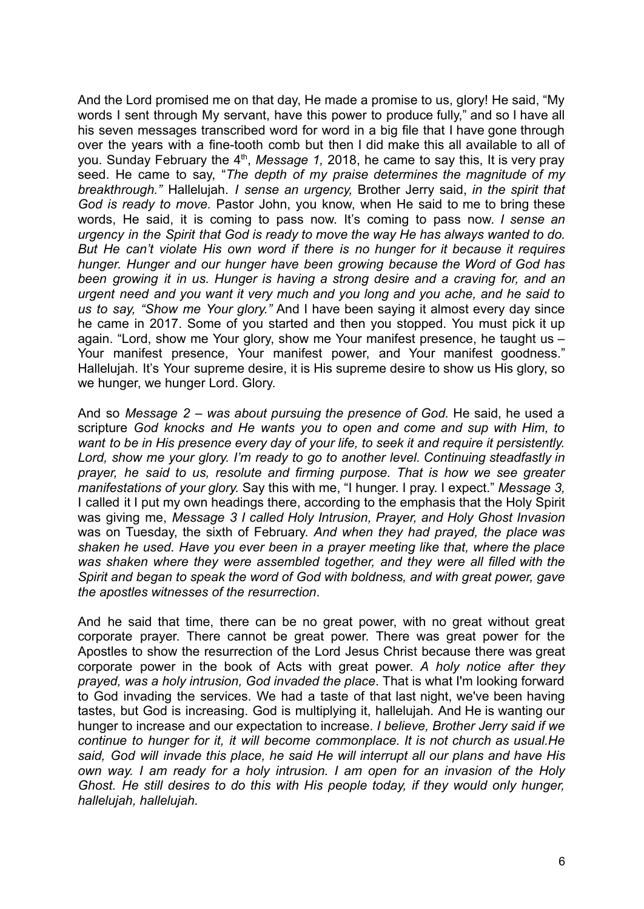And the Lord promised me on that day, He made a promise to us, glory! He said, "My words I sent through My servant, have this power to produce fully," and so I have all his seven messages transcribed word for word in a big file that I have gone through over the years with a fine-tooth comb but then I did make this all available to all of you. Sunday February the 4<sup>th</sup>, Message 1, 2018, he came to say this, It is very pray seed. He came to say, "*The depth of my praise determines the magnitude of my breakthrough."* Hallelujah. *I sense an urgency,* Brother Jerry said, *in the spirit that God is ready to move.* Pastor John, you know, when He said to me to bring these words, He said, it is coming to pass now. It's coming to pass now. *I sense an urgency in the Spirit that God is ready to move the way He has always wanted to do. But He can't violate His own word if there is no hunger for it because it requires hunger. Hunger and our hunger have been growing because the Word of God has been growing it in us. Hunger is having a strong desire and a craving for, and an urgent need and you want it very much and you long and you ache, and he said to us to say, "Show me Your glory."* And I have been saying it almost every day since he came in 2017. Some of you started and then you stopped. You must pick it up again. "Lord, show me Your glory, show me Your manifest presence, he taught us – Your manifest presence, Your manifest power, and Your manifest goodness." Hallelujah. It's Your supreme desire, it is His supreme desire to show us His glory, so we hunger, we hunger Lord. Glory.

And so *Message 2 – was about pursuing the presence of God.* He said, he used a scripture *God knocks and He wants you to open and come and sup with Him, to want to be in His presence every day of your life, to seek it and require it persistently. Lord, show me your glory. I'm ready to go to another level. Continuing steadfastly in prayer, he said to us, resolute and firming purpose. That is how we see greater manifestations of your glory.* Say this with me, "I hunger. I pray. I expect." *Message 3,* I called it I put my own headings there, according to the emphasis that the Holy Spirit was giving me, *Message 3 I called Holy Intrusion, Prayer, and Holy Ghost Invasion* was on Tuesday, the sixth of February. *And when they had prayed, the place was shaken he used. Have you ever been in a prayer meeting like that, where the place was shaken where they were assembled together, and they were all filled with the Spirit and began to speak the word of God with boldness, and with great power, gave the apostles witnesses of the resurrection*.

And he said that time, there can be no great power, with no great without great corporate prayer. There cannot be great power. There was great power for the Apostles to show the resurrection of the Lord Jesus Christ because there was great corporate power in the book of Acts with great power. *A holy notice after they prayed, was a holy intrusion, God invaded the place*. That is what I'm looking forward to God invading the services. We had a taste of that last night, we've been having tastes, but God is increasing. God is multiplying it, hallelujah. And He is wanting our hunger to increase and our expectation to increase. *I believe, Brother Jerry said if we continue to hunger for it, it will become commonplace. It is not church as usual.He said, God will invade this place, he said He will interrupt all our plans and have His own way. I am ready for a holy intrusion. I am open for an invasion of the Holy Ghost. He still desires to do this with His people today, if they would only hunger, hallelujah, hallelujah.*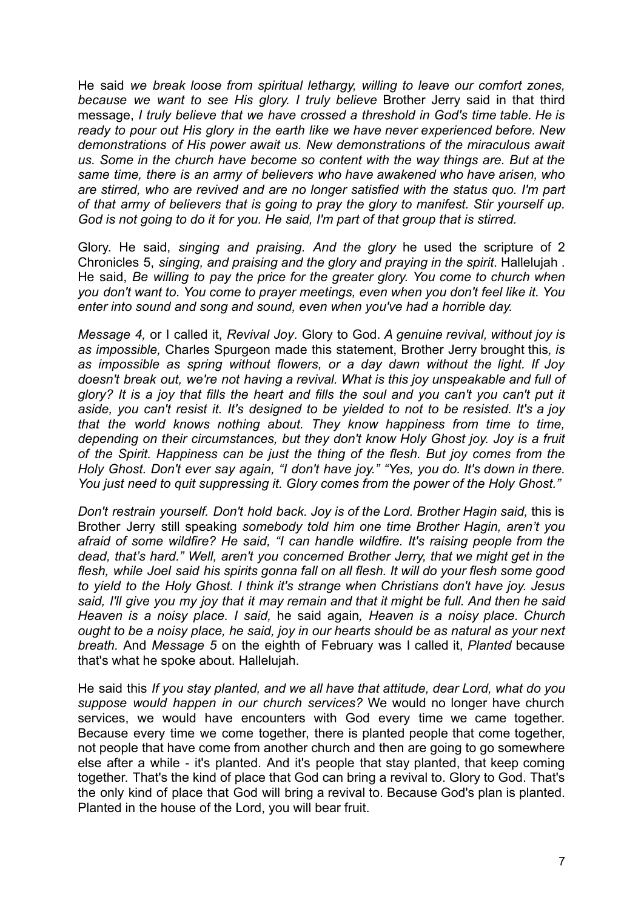He said *we break loose from spiritual lethargy, willing to leave our comfort zones, because we want to see His glory. I truly believe* Brother Jerry said in that third message, *I truly believe that we have crossed a threshold in God's time table. He is ready to pour out His glory in the earth like we have never experienced before. New demonstrations of His power await us. New demonstrations of the miraculous await us. Some in the church have become so content with the way things are. But at the same time, there is an army of believers who have awakened who have arisen, who are stirred, who are revived and are no longer satisfied with the status quo. I'm part of that army of believers that is going to pray the glory to manifest. Stir yourself up. God is not going to do it for you. He said, I'm part of that group that is stirred.*

Glory. He said, *singing and praising. And the glory* he used the scripture of 2 Chronicles 5, *singing, and praising and the glory and praying in the spirit*. Hallelujah . He said, *Be willing to pay the price for the greater glory. You come to church when you don't want to. You come to prayer meetings, even when you don't feel like it. You enter into sound and song and sound, even when you've had a horrible day.*

*Message 4,* or I called it, *Revival Joy*. Glory to God. *A genuine revival, without joy is as impossible,* Charles Spurgeon made this statement, Brother Jerry brought this*, is as impossible as spring without flowers, or a day dawn without the light. If Joy doesn't break out, we're not having a revival. What is this joy unspeakable and full of* glory? It is a joy that fills the heart and fills the soul and you can't you can't put it *aside, you can't resist it. It's designed to be yielded to not to be resisted. It's a joy that the world knows nothing about. They know happiness from time to time, depending on their circumstances, but they don't know Holy Ghost joy. Joy is a fruit of the Spirit. Happiness can be just the thing of the flesh. But joy comes from the Holy Ghost. Don't ever say again, "I don't have joy." "Yes, you do. It's down in there. You just need to quit suppressing it. Glory comes from the power of the Holy Ghost."*

*Don't restrain yourself. Don't hold back. Joy is of the Lord. Brother Hagin said,* this is Brother Jerry still speaking *somebody told him one time Brother Hagin, aren't you afraid of some wildfire? He said, "I can handle wildfire. It's raising people from the dead, that's hard." Well, aren't you concerned Brother Jerry, that we might get in the flesh, while Joel said his spirits gonna fall on all flesh. It will do your flesh some good to yield to the Holy Ghost. I think it's strange when Christians don't have joy. Jesus* said, I'll give you my joy that it may remain and that it might be full. And then he said *Heaven is a noisy place. I said,* he said again*, Heaven is a noisy place. Church ought to be a noisy place, he said, joy in our hearts should be as natural as your next breath.* And *Message 5* on the eighth of February was I called it, *Planted* because that's what he spoke about. Hallelujah.

He said this *If you stay planted, and we all have that attitude, dear Lord, what do you suppose would happen in our church services?* We would no longer have church services, we would have encounters with God every time we came together. Because every time we come together, there is planted people that come together, not people that have come from another church and then are going to go somewhere else after a while - it's planted. And it's people that stay planted, that keep coming together. That's the kind of place that God can bring a revival to. Glory to God. That's the only kind of place that God will bring a revival to. Because God's plan is planted. Planted in the house of the Lord, you will bear fruit.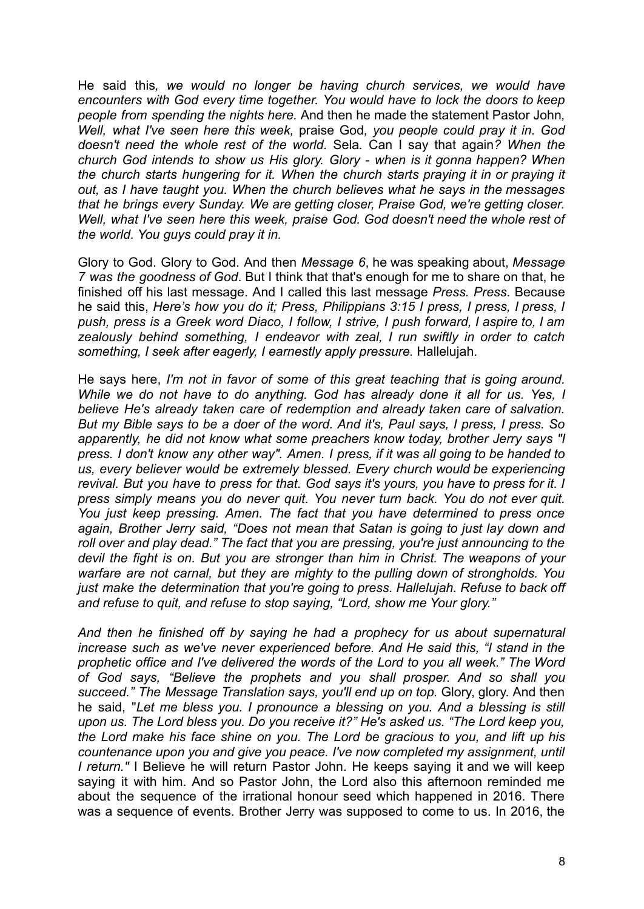He said this*, we would no longer be having church services, we would have encounters with God every time together. You would have to lock the doors to keep people from spending the nights here.* And then he made the statement Pastor John*, Well, what I've seen here this week,* praise God*, you people could pray it in. God doesn't need the whole rest of the world.* Sela*.* Can I say that again*? When the church God intends to show us His glory. Glory - when is it gonna happen? When the church starts hungering for it. When the church starts praying it in or praying it out, as I have taught you. When the church believes what he says in the messages that he brings every Sunday. We are getting closer, Praise God, we're getting closer. Well, what I've seen here this week, praise God. God doesn't need the whole rest of the world. You guys could pray it in.*

Glory to God. Glory to God. And then *Message 6*, he was speaking about, *Message 7 was the goodness of God*. But I think that that's enough for me to share on that, he finished off his last message. And I called this last message *Press. Press*. Because he said this, *Here's how you do it; Press, Philippians 3:15 I press, I press, I press, I push, press is a Greek word Diaco, I follow, I strive, I push forward, I aspire to, I am zealously behind something, I endeavor with zeal, I run swiftly in order to catch something, I seek after eagerly, I earnestly apply pressure.* Hallelujah.

He says here, *I'm not in favor of some of this great teaching that is going around. While we do not have to do anything. God has already done it all for us. Yes, I believe He's already taken care of redemption and already taken care of salvation.* But my Bible says to be a doer of the word. And it's, Paul says, I press, I press. So *apparently, he did not know what some preachers know today, brother Jerry says "I press. I don't know any other way". Amen. I press, if it was all going to be handed to us, every believer would be extremely blessed. Every church would be experiencing revival. But you have to press for that. God says it's yours, you have to press for it. I press simply means you do never quit. You never turn back. You do not ever quit. You just keep pressing. Amen. The fact that you have determined to press once again, Brother Jerry said, "Does not mean that Satan is going to just lay down and roll over and play dead." The fact that you are pressing, you're just announcing to the devil the fight is on. But you are stronger than him in Christ. The weapons of your warfare are not carnal, but they are mighty to the pulling down of strongholds. You just make the determination that you're going to press. Hallelujah. Refuse to back off and refuse to quit, and refuse to stop saying, "Lord, show me Your glory."*

*And then he finished off by saying he had a prophecy for us about supernatural increase such as we've never experienced before. And He said this, "I stand in the prophetic office and I've delivered the words of the Lord to you all week." The Word of God says, "Believe the prophets and you shall prosper. And so shall you succeed." The Message Translation says, you'll end up on top.* Glory, glory. And then he said, "*Let me bless you. I pronounce a blessing on you. And a blessing is still upon us. The Lord bless you. Do you receive it?" He's asked us. "The Lord keep you, the Lord make his face shine on you. The Lord be gracious to you, and lift up his countenance upon you and give you peace. I've now completed my assignment, until I return."* I Believe he will return Pastor John. He keeps saying it and we will keep saying it with him. And so Pastor John, the Lord also this afternoon reminded me about the sequence of the irrational honour seed which happened in 2016. There was a sequence of events. Brother Jerry was supposed to come to us. In 2016, the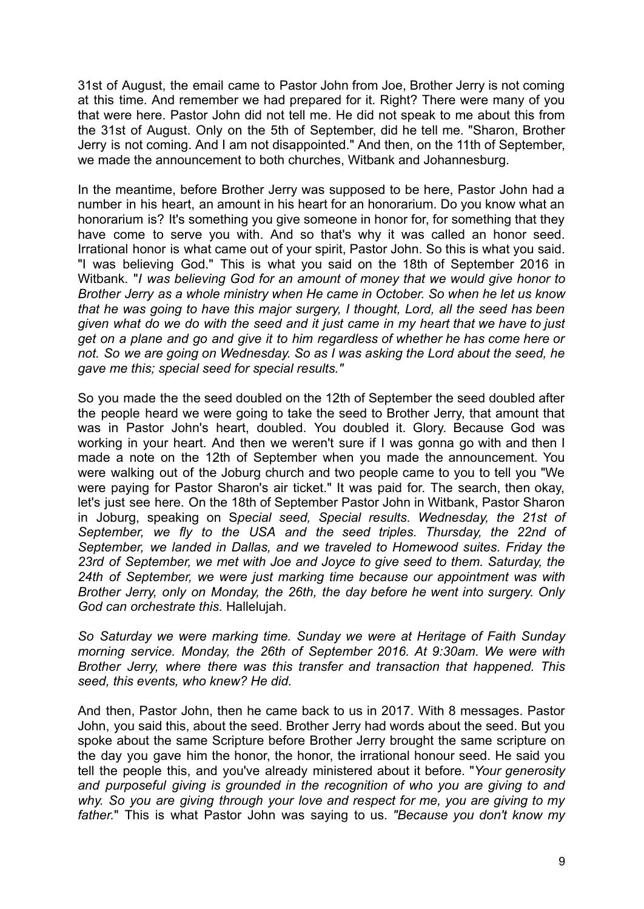31st of August, the email came to Pastor John from Joe, Brother Jerry is not coming at this time. And remember we had prepared for it. Right? There were many of you that were here. Pastor John did not tell me. He did not speak to me about this from the 31st of August. Only on the 5th of September, did he tell me. "Sharon, Brother Jerry is not coming. And I am not disappointed." And then, on the 11th of September, we made the announcement to both churches, Witbank and Johannesburg.

In the meantime, before Brother Jerry was supposed to be here, Pastor John had a number in his heart, an amount in his heart for an honorarium. Do you know what an honorarium is? It's something you give someone in honor for, for something that they have come to serve you with. And so that's why it was called an honor seed. Irrational honor is what came out of your spirit, Pastor John. So this is what you said. "I was believing God." This is what you said on the 18th of September 2016 in Witbank. "*I was believing God for an amount of money that we would give honor to Brother Jerry as a whole ministry when He came in October. So when he let us know that he was going to have this major surgery, I thought, Lord, all the seed has been given what do we do with the seed and it just came in my heart that we have to just get on a plane and go and give it to him regardless of whether he has come here or not. So we are going on Wednesday. So as I was asking the Lord about the seed, he gave me this; special seed for special results."*

So you made the the seed doubled on the 12th of September the seed doubled after the people heard we were going to take the seed to Brother Jerry, that amount that was in Pastor John's heart, doubled. You doubled it. Glory. Because God was working in your heart. And then we weren't sure if I was gonna go with and then I made a note on the 12th of September when you made the announcement. You were walking out of the Joburg church and two people came to you to tell you "We were paying for Pastor Sharon's air ticket." It was paid for. The search, then okay, let's just see here. On the 18th of September Pastor John in Witbank, Pastor Sharon in Joburg, speaking on S*pecial seed, Special results*. *Wednesday, the 21st of September, we fly to the USA and the seed triples. Thursday, the 22nd of September, we landed in Dallas, and we traveled to Homewood suites. Friday the 23rd of September, we met with Joe and Joyce to give seed to them. Saturday, the 24th of September, we were just marking time because our appointment was with Brother Jerry, only on Monday, the 26th, the day before he went into surgery. Only God can orchestrate this.* Hallelujah.

*So Saturday we were marking time. Sunday we were at Heritage of Faith Sunday morning service. Monday, the 26th of September 2016. At 9:30am. We were with Brother Jerry, where there was this transfer and transaction that happened. This seed, this events, who knew? He did.*

And then, Pastor John, then he came back to us in 2017. With 8 messages. Pastor John, you said this, about the seed. Brother Jerry had words about the seed. But you spoke about the same Scripture before Brother Jerry brought the same scripture on the day you gave him the honor, the honor, the irrational honour seed. He said you tell the people this, and you've already ministered about it before. "*Your generosity and purposeful giving is grounded in the recognition of who you are giving to and why. So you are giving through your love and respect for me, you are giving to my father.*" This is what Pastor John was saying to us. *"Because you don't know my*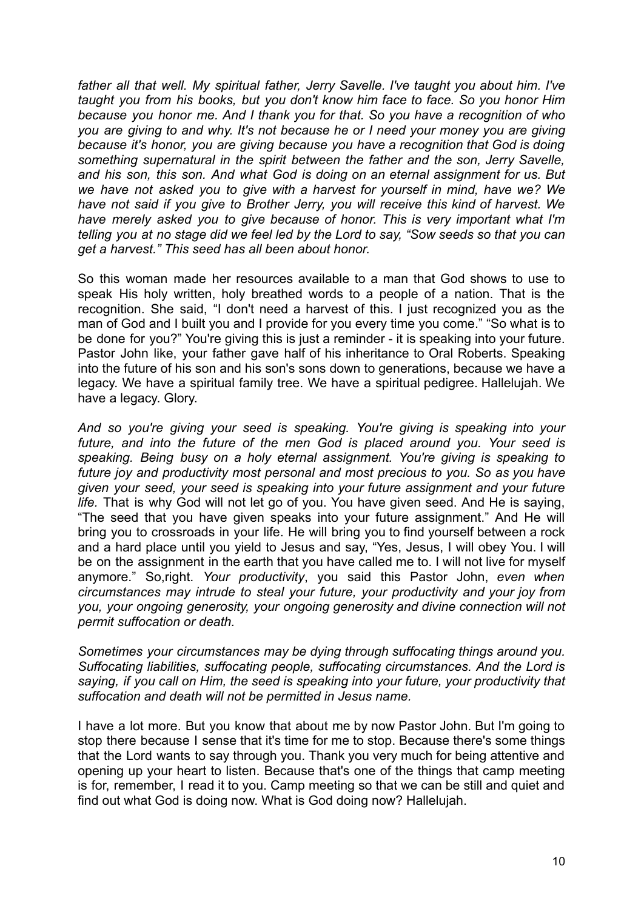*father all that well. My spiritual father, Jerry Savelle. I've taught you about him. I've taught you from his books, but you don't know him face to face. So you honor Him because you honor me. And I thank you for that. So you have a recognition of who you are giving to and why. It's not because he or I need your money you are giving because it's honor, you are giving because you have a recognition that God is doing something supernatural in the spirit between the father and the son, Jerry Savelle, and his son, this son. And what God is doing on an eternal assignment for us. But we have not asked you to give with a harvest for yourself in mind, have we? We have not said if you give to Brother Jerry, you will receive this kind of harvest. We have merely asked you to give because of honor. This is very important what I'm* telling you at no stage did we feel led by the Lord to say, "Sow seeds so that you can *get a harvest." This seed has all been about honor.*

So this woman made her resources available to a man that God shows to use to speak His holy written, holy breathed words to a people of a nation. That is the recognition. She said, "I don't need a harvest of this. I just recognized you as the man of God and I built you and I provide for you every time you come." "So what is to be done for you?" You're giving this is just a reminder - it is speaking into your future. Pastor John like, your father gave half of his inheritance to Oral Roberts. Speaking into the future of his son and his son's sons down to generations, because we have a legacy. We have a spiritual family tree. We have a spiritual pedigree. Hallelujah. We have a legacy. Glory.

*And so you're giving your seed is speaking. You're giving is speaking into your future, and into the future of the men God is placed around you. Your seed is speaking. Being busy on a holy eternal assignment. You're giving is speaking to future joy and productivity most personal and most precious to you. So as you have given your seed, your seed is speaking into your future assignment and your future life.* That is why God will not let go of you. You have given seed. And He is saying, "The seed that you have given speaks into your future assignment." And He will bring you to crossroads in your life. He will bring you to find yourself between a rock and a hard place until you yield to Jesus and say, "Yes, Jesus, I will obey You. I will be on the assignment in the earth that you have called me to. I will not live for myself anymore." So,right. *Your productivity*, you said this Pastor John, *even when circumstances may intrude to steal your future, your productivity and your joy from you, your ongoing generosity, your ongoing generosity and divine connection will not permit suffocation or death.*

*Sometimes your circumstances may be dying through suffocating things around you. Suffocating liabilities, suffocating people, suffocating circumstances. And the Lord is saying, if you call on Him, the seed is speaking into your future, your productivity that suffocation and death will not be permitted in Jesus name.*

I have a lot more. But you know that about me by now Pastor John. But I'm going to stop there because I sense that it's time for me to stop. Because there's some things that the Lord wants to say through you. Thank you very much for being attentive and opening up your heart to listen. Because that's one of the things that camp meeting is for, remember, I read it to you. Camp meeting so that we can be still and quiet and find out what God is doing now. What is God doing now? Hallelujah.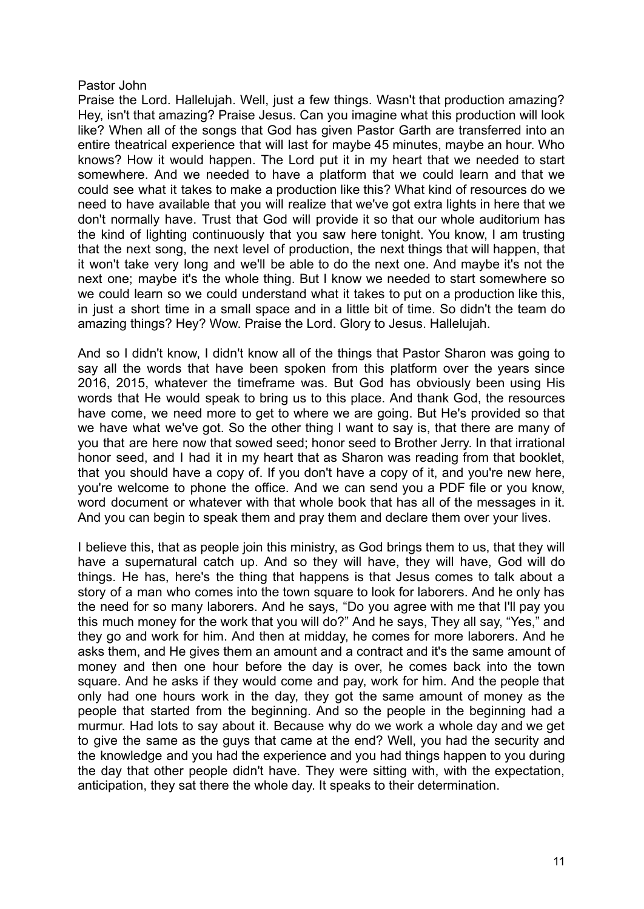## Pastor John

Praise the Lord. Hallelujah. Well, just a few things. Wasn't that production amazing? Hey, isn't that amazing? Praise Jesus. Can you imagine what this production will look like? When all of the songs that God has given Pastor Garth are transferred into an entire theatrical experience that will last for maybe 45 minutes, maybe an hour. Who knows? How it would happen. The Lord put it in my heart that we needed to start somewhere. And we needed to have a platform that we could learn and that we could see what it takes to make a production like this? What kind of resources do we need to have available that you will realize that we've got extra lights in here that we don't normally have. Trust that God will provide it so that our whole auditorium has the kind of lighting continuously that you saw here tonight. You know, I am trusting that the next song, the next level of production, the next things that will happen, that it won't take very long and we'll be able to do the next one. And maybe it's not the next one; maybe it's the whole thing. But I know we needed to start somewhere so we could learn so we could understand what it takes to put on a production like this, in just a short time in a small space and in a little bit of time. So didn't the team do amazing things? Hey? Wow. Praise the Lord. Glory to Jesus. Hallelujah.

And so I didn't know, I didn't know all of the things that Pastor Sharon was going to say all the words that have been spoken from this platform over the years since 2016, 2015, whatever the timeframe was. But God has obviously been using His words that He would speak to bring us to this place. And thank God, the resources have come, we need more to get to where we are going. But He's provided so that we have what we've got. So the other thing I want to say is, that there are many of you that are here now that sowed seed; honor seed to Brother Jerry. In that irrational honor seed, and I had it in my heart that as Sharon was reading from that booklet, that you should have a copy of. If you don't have a copy of it, and you're new here, you're welcome to phone the office. And we can send you a PDF file or you know, word document or whatever with that whole book that has all of the messages in it. And you can begin to speak them and pray them and declare them over your lives.

I believe this, that as people join this ministry, as God brings them to us, that they will have a supernatural catch up. And so they will have, they will have, God will do things. He has, here's the thing that happens is that Jesus comes to talk about a story of a man who comes into the town square to look for laborers. And he only has the need for so many laborers. And he says, "Do you agree with me that I'll pay you this much money for the work that you will do?" And he says, They all say, "Yes," and they go and work for him. And then at midday, he comes for more laborers. And he asks them, and He gives them an amount and a contract and it's the same amount of money and then one hour before the day is over, he comes back into the town square. And he asks if they would come and pay, work for him. And the people that only had one hours work in the day, they got the same amount of money as the people that started from the beginning. And so the people in the beginning had a murmur. Had lots to say about it. Because why do we work a whole day and we get to give the same as the guys that came at the end? Well, you had the security and the knowledge and you had the experience and you had things happen to you during the day that other people didn't have. They were sitting with, with the expectation, anticipation, they sat there the whole day. It speaks to their determination.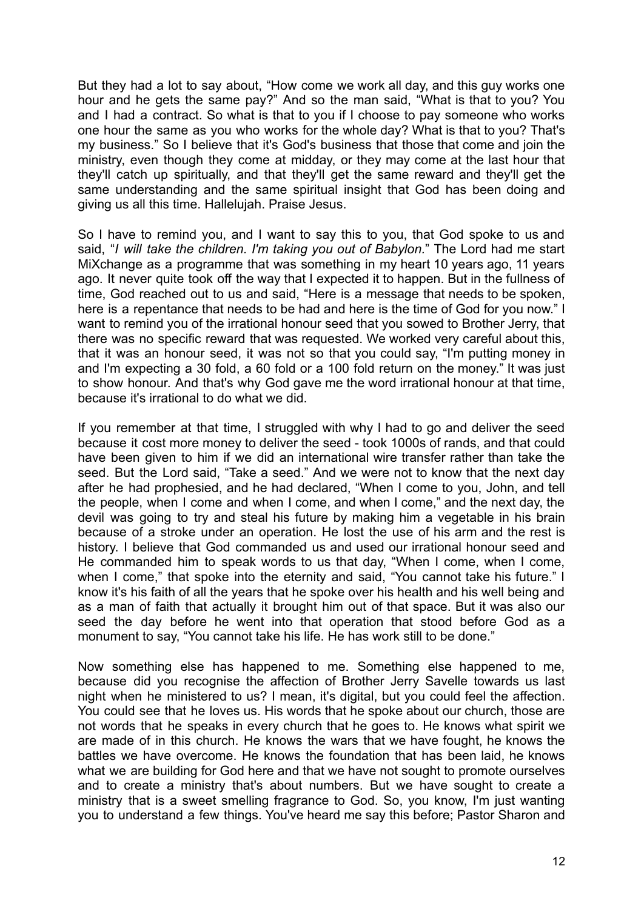But they had a lot to say about, "How come we work all day, and this guy works one hour and he gets the same pay?" And so the man said, "What is that to you? You and I had a contract. So what is that to you if I choose to pay someone who works one hour the same as you who works for the whole day? What is that to you? That's my business." So I believe that it's God's business that those that come and join the ministry, even though they come at midday, or they may come at the last hour that they'll catch up spiritually, and that they'll get the same reward and they'll get the same understanding and the same spiritual insight that God has been doing and giving us all this time. Hallelujah. Praise Jesus.

So I have to remind you, and I want to say this to you, that God spoke to us and said, "*I will take the children. I'm taking you out of Babylon.*" The Lord had me start MiXchange as a programme that was something in my heart 10 years ago, 11 years ago. It never quite took off the way that I expected it to happen. But in the fullness of time, God reached out to us and said, "Here is a message that needs to be spoken, here is a repentance that needs to be had and here is the time of God for you now." I want to remind you of the irrational honour seed that you sowed to Brother Jerry, that there was no specific reward that was requested. We worked very careful about this, that it was an honour seed, it was not so that you could say, "I'm putting money in and I'm expecting a 30 fold, a 60 fold or a 100 fold return on the money." It was just to show honour. And that's why God gave me the word irrational honour at that time, because it's irrational to do what we did.

If you remember at that time, I struggled with why I had to go and deliver the seed because it cost more money to deliver the seed - took 1000s of rands, and that could have been given to him if we did an international wire transfer rather than take the seed. But the Lord said, "Take a seed." And we were not to know that the next day after he had prophesied, and he had declared, "When I come to you, John, and tell the people, when I come and when I come, and when I come," and the next day, the devil was going to try and steal his future by making him a vegetable in his brain because of a stroke under an operation. He lost the use of his arm and the rest is history. I believe that God commanded us and used our irrational honour seed and He commanded him to speak words to us that day, "When I come, when I come, when I come," that spoke into the eternity and said, "You cannot take his future." I know it's his faith of all the years that he spoke over his health and his well being and as a man of faith that actually it brought him out of that space. But it was also our seed the day before he went into that operation that stood before God as a monument to say, "You cannot take his life. He has work still to be done."

Now something else has happened to me. Something else happened to me, because did you recognise the affection of Brother Jerry Savelle towards us last night when he ministered to us? I mean, it's digital, but you could feel the affection. You could see that he loves us. His words that he spoke about our church, those are not words that he speaks in every church that he goes to. He knows what spirit we are made of in this church. He knows the wars that we have fought, he knows the battles we have overcome. He knows the foundation that has been laid, he knows what we are building for God here and that we have not sought to promote ourselves and to create a ministry that's about numbers. But we have sought to create a ministry that is a sweet smelling fragrance to God. So, you know, I'm just wanting you to understand a few things. You've heard me say this before; Pastor Sharon and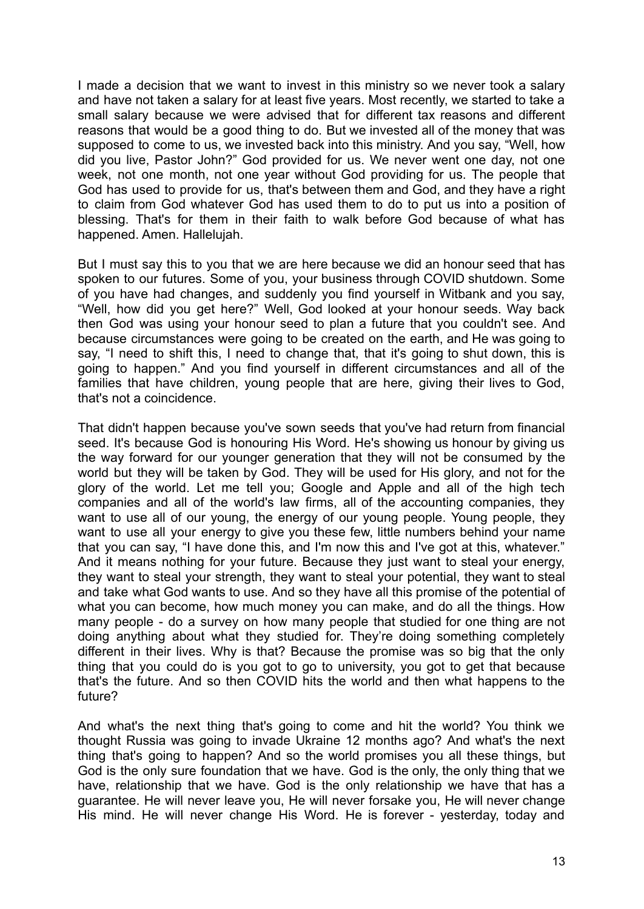I made a decision that we want to invest in this ministry so we never took a salary and have not taken a salary for at least five years. Most recently, we started to take a small salary because we were advised that for different tax reasons and different reasons that would be a good thing to do. But we invested all of the money that was supposed to come to us, we invested back into this ministry. And you say, "Well, how did you live, Pastor John?" God provided for us. We never went one day, not one week, not one month, not one year without God providing for us. The people that God has used to provide for us, that's between them and God, and they have a right to claim from God whatever God has used them to do to put us into a position of blessing. That's for them in their faith to walk before God because of what has happened. Amen. Hallelujah.

But I must say this to you that we are here because we did an honour seed that has spoken to our futures. Some of you, your business through COVID shutdown. Some of you have had changes, and suddenly you find yourself in Witbank and you say, "Well, how did you get here?" Well, God looked at your honour seeds. Way back then God was using your honour seed to plan a future that you couldn't see. And because circumstances were going to be created on the earth, and He was going to say, "I need to shift this, I need to change that, that it's going to shut down, this is going to happen." And you find yourself in different circumstances and all of the families that have children, young people that are here, giving their lives to God, that's not a coincidence.

That didn't happen because you've sown seeds that you've had return from financial seed. It's because God is honouring His Word. He's showing us honour by giving us the way forward for our younger generation that they will not be consumed by the world but they will be taken by God. They will be used for His glory, and not for the glory of the world. Let me tell you; Google and Apple and all of the high tech companies and all of the world's law firms, all of the accounting companies, they want to use all of our young, the energy of our young people. Young people, they want to use all your energy to give you these few, little numbers behind your name that you can say, "I have done this, and I'm now this and I've got at this, whatever." And it means nothing for your future. Because they just want to steal your energy, they want to steal your strength, they want to steal your potential, they want to steal and take what God wants to use. And so they have all this promise of the potential of what you can become, how much money you can make, and do all the things. How many people - do a survey on how many people that studied for one thing are not doing anything about what they studied for. They're doing something completely different in their lives. Why is that? Because the promise was so big that the only thing that you could do is you got to go to university, you got to get that because that's the future. And so then COVID hits the world and then what happens to the future?

And what's the next thing that's going to come and hit the world? You think we thought Russia was going to invade Ukraine 12 months ago? And what's the next thing that's going to happen? And so the world promises you all these things, but God is the only sure foundation that we have. God is the only, the only thing that we have, relationship that we have. God is the only relationship we have that has a guarantee. He will never leave you, He will never forsake you, He will never change His mind. He will never change His Word. He is forever - yesterday, today and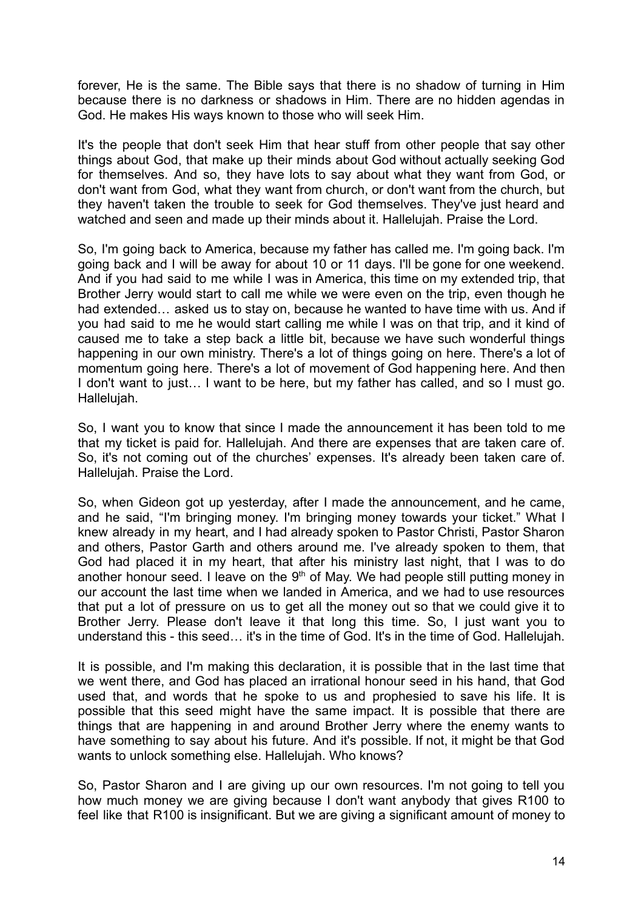forever, He is the same. The Bible says that there is no shadow of turning in Him because there is no darkness or shadows in Him. There are no hidden agendas in God. He makes His ways known to those who will seek Him.

It's the people that don't seek Him that hear stuff from other people that say other things about God, that make up their minds about God without actually seeking God for themselves. And so, they have lots to say about what they want from God, or don't want from God, what they want from church, or don't want from the church, but they haven't taken the trouble to seek for God themselves. They've just heard and watched and seen and made up their minds about it. Hallelujah. Praise the Lord.

So, I'm going back to America, because my father has called me. I'm going back. I'm going back and I will be away for about 10 or 11 days. I'll be gone for one weekend. And if you had said to me while I was in America, this time on my extended trip, that Brother Jerry would start to call me while we were even on the trip, even though he had extended… asked us to stay on, because he wanted to have time with us. And if you had said to me he would start calling me while I was on that trip, and it kind of caused me to take a step back a little bit, because we have such wonderful things happening in our own ministry. There's a lot of things going on here. There's a lot of momentum going here. There's a lot of movement of God happening here. And then I don't want to just… I want to be here, but my father has called, and so I must go. Hallelujah.

So, I want you to know that since I made the announcement it has been told to me that my ticket is paid for. Hallelujah. And there are expenses that are taken care of. So, it's not coming out of the churches' expenses. It's already been taken care of. Hallelujah. Praise the Lord.

So, when Gideon got up yesterday, after I made the announcement, and he came, and he said, "I'm bringing money. I'm bringing money towards your ticket." What I knew already in my heart, and I had already spoken to Pastor Christi, Pastor Sharon and others, Pastor Garth and others around me. I've already spoken to them, that God had placed it in my heart, that after his ministry last night, that I was to do another honour seed. I leave on the  $9<sup>th</sup>$  of May. We had people still putting money in our account the last time when we landed in America, and we had to use resources that put a lot of pressure on us to get all the money out so that we could give it to Brother Jerry. Please don't leave it that long this time. So, I just want you to understand this - this seed… it's in the time of God. It's in the time of God. Hallelujah.

It is possible, and I'm making this declaration, it is possible that in the last time that we went there, and God has placed an irrational honour seed in his hand, that God used that, and words that he spoke to us and prophesied to save his life. It is possible that this seed might have the same impact. It is possible that there are things that are happening in and around Brother Jerry where the enemy wants to have something to say about his future. And it's possible. If not, it might be that God wants to unlock something else. Hallelujah. Who knows?

So, Pastor Sharon and I are giving up our own resources. I'm not going to tell you how much money we are giving because I don't want anybody that gives R100 to feel like that R100 is insignificant. But we are giving a significant amount of money to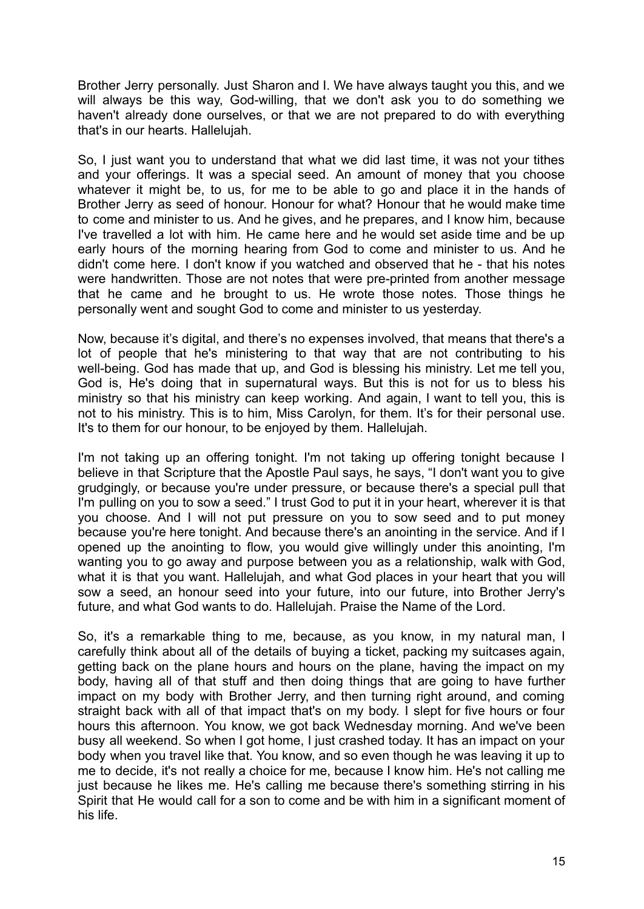Brother Jerry personally. Just Sharon and I. We have always taught you this, and we will always be this way, God-willing, that we don't ask you to do something we haven't already done ourselves, or that we are not prepared to do with everything that's in our hearts. Hallelujah.

So, I just want you to understand that what we did last time, it was not your tithes and your offerings. It was a special seed. An amount of money that you choose whatever it might be, to us, for me to be able to go and place it in the hands of Brother Jerry as seed of honour. Honour for what? Honour that he would make time to come and minister to us. And he gives, and he prepares, and I know him, because I've travelled a lot with him. He came here and he would set aside time and be up early hours of the morning hearing from God to come and minister to us. And he didn't come here. I don't know if you watched and observed that he - that his notes were handwritten. Those are not notes that were pre-printed from another message that he came and he brought to us. He wrote those notes. Those things he personally went and sought God to come and minister to us yesterday.

Now, because it's digital, and there's no expenses involved, that means that there's a lot of people that he's ministering to that way that are not contributing to his well-being. God has made that up, and God is blessing his ministry. Let me tell you, God is, He's doing that in supernatural ways. But this is not for us to bless his ministry so that his ministry can keep working. And again, I want to tell you, this is not to his ministry. This is to him, Miss Carolyn, for them. It's for their personal use. It's to them for our honour, to be enjoyed by them. Hallelujah.

I'm not taking up an offering tonight. I'm not taking up offering tonight because I believe in that Scripture that the Apostle Paul says, he says, "I don't want you to give grudgingly, or because you're under pressure, or because there's a special pull that I'm pulling on you to sow a seed." I trust God to put it in your heart, wherever it is that you choose. And I will not put pressure on you to sow seed and to put money because you're here tonight. And because there's an anointing in the service. And if I opened up the anointing to flow, you would give willingly under this anointing, I'm wanting you to go away and purpose between you as a relationship, walk with God, what it is that you want. Hallelujah, and what God places in your heart that you will sow a seed, an honour seed into your future, into our future, into Brother Jerry's future, and what God wants to do. Hallelujah. Praise the Name of the Lord.

So, it's a remarkable thing to me, because, as you know, in my natural man, I carefully think about all of the details of buying a ticket, packing my suitcases again, getting back on the plane hours and hours on the plane, having the impact on my body, having all of that stuff and then doing things that are going to have further impact on my body with Brother Jerry, and then turning right around, and coming straight back with all of that impact that's on my body. I slept for five hours or four hours this afternoon. You know, we got back Wednesday morning. And we've been busy all weekend. So when I got home, I just crashed today. It has an impact on your body when you travel like that. You know, and so even though he was leaving it up to me to decide, it's not really a choice for me, because I know him. He's not calling me just because he likes me. He's calling me because there's something stirring in his Spirit that He would call for a son to come and be with him in a significant moment of his life.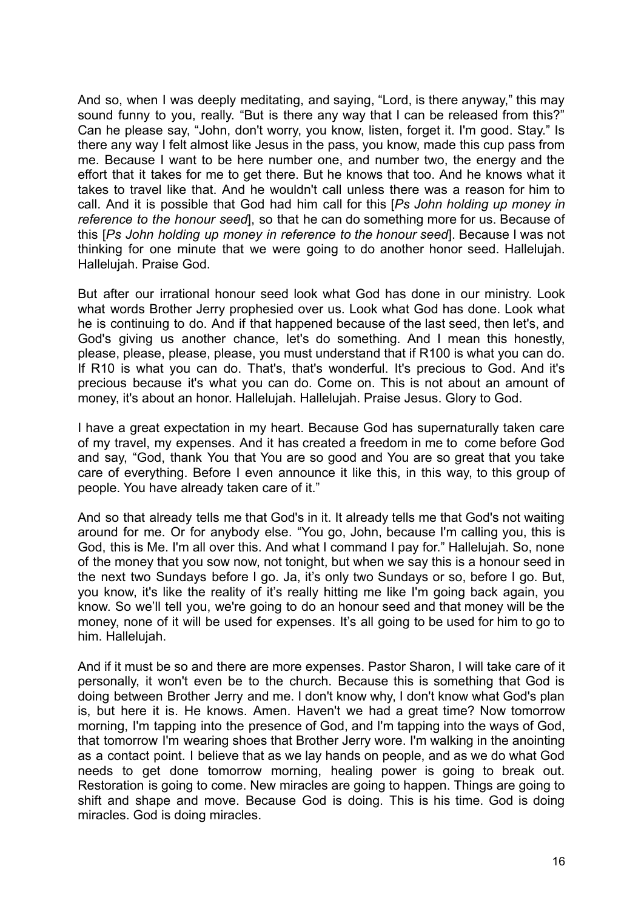And so, when I was deeply meditating, and saying, "Lord, is there anyway," this may sound funny to you, really. "But is there any way that I can be released from this?" Can he please say, "John, don't worry, you know, listen, forget it. I'm good. Stay." Is there any way I felt almost like Jesus in the pass, you know, made this cup pass from me. Because I want to be here number one, and number two, the energy and the effort that it takes for me to get there. But he knows that too. And he knows what it takes to travel like that. And he wouldn't call unless there was a reason for him to call. And it is possible that God had him call for this [*Ps John holding up money in reference to the honour seed*], so that he can do something more for us. Because of this [*Ps John holding up money in reference to the honour seed*]. Because I was not thinking for one minute that we were going to do another honor seed. Hallelujah. Hallelujah. Praise God.

But after our irrational honour seed look what God has done in our ministry. Look what words Brother Jerry prophesied over us. Look what God has done. Look what he is continuing to do. And if that happened because of the last seed, then let's, and God's giving us another chance, let's do something. And I mean this honestly, please, please, please, please, you must understand that if R100 is what you can do. If R10 is what you can do. That's, that's wonderful. It's precious to God. And it's precious because it's what you can do. Come on. This is not about an amount of money, it's about an honor. Hallelujah. Hallelujah. Praise Jesus. Glory to God.

I have a great expectation in my heart. Because God has supernaturally taken care of my travel, my expenses. And it has created a freedom in me to come before God and say, "God, thank You that You are so good and You are so great that you take care of everything. Before I even announce it like this, in this way, to this group of people. You have already taken care of it."

And so that already tells me that God's in it. It already tells me that God's not waiting around for me. Or for anybody else. "You go, John, because I'm calling you, this is God, this is Me. I'm all over this. And what I command I pay for." Hallelujah. So, none of the money that you sow now, not tonight, but when we say this is a honour seed in the next two Sundays before I go. Ja, it's only two Sundays or so, before I go. But, you know, it's like the reality of it's really hitting me like I'm going back again, you know. So we'll tell you, we're going to do an honour seed and that money will be the money, none of it will be used for expenses. It's all going to be used for him to go to him. Hallelujah.

And if it must be so and there are more expenses. Pastor Sharon, I will take care of it personally, it won't even be to the church. Because this is something that God is doing between Brother Jerry and me. I don't know why, I don't know what God's plan is, but here it is. He knows. Amen. Haven't we had a great time? Now tomorrow morning, I'm tapping into the presence of God, and I'm tapping into the ways of God, that tomorrow I'm wearing shoes that Brother Jerry wore. I'm walking in the anointing as a contact point. I believe that as we lay hands on people, and as we do what God needs to get done tomorrow morning, healing power is going to break out. Restoration is going to come. New miracles are going to happen. Things are going to shift and shape and move. Because God is doing. This is his time. God is doing miracles. God is doing miracles.